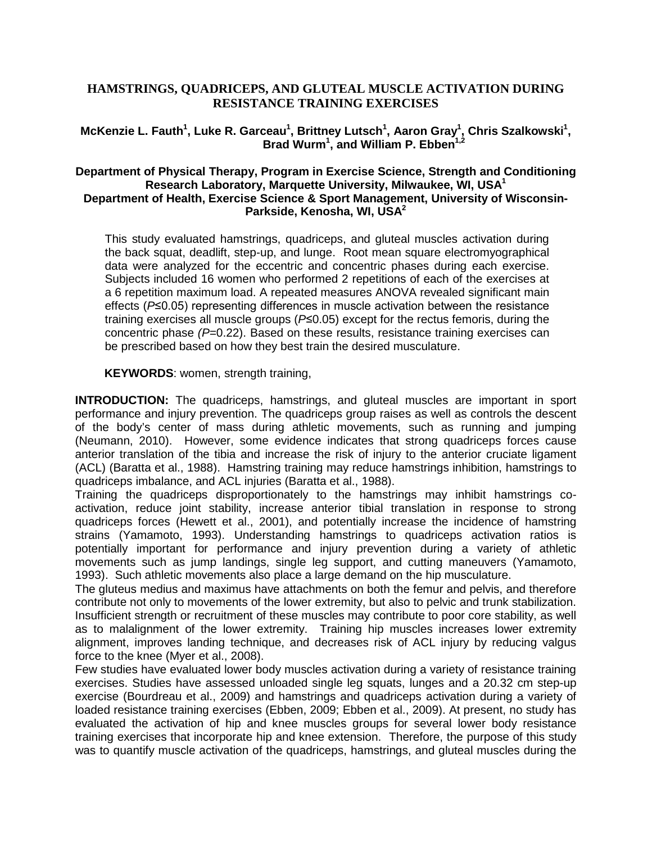# **HAMSTRINGS, QUADRICEPS, AND GLUTEAL MUSCLE ACTIVATION DURING RESISTANCE TRAINING EXERCISES**

# McKenzie L. Fauth<sup>1</sup>, Luke R. Garceau<sup>1</sup>, Brittney Lutsch<sup>1</sup>, Aaron Gray<sup>1</sup>, Chris Szalkowski<sup>1</sup>, Brad Wurm<sup>1</sup>, and William P. Ebben<sup>1,2</sup>

## **Department of Physical Therapy, Program in Exercise Science, Strength and Conditioning Research Laboratory, Marquette University, Milwaukee, WI, USA 1 Department of Health, Exercise Science & Sport Management, University of Wisconsin-Parkside, Kenosha, WI, USA 2**

This study evaluated hamstrings, quadriceps, and gluteal muscles activation during the back squat, deadlift, step-up, and lunge. Root mean square electromyographical data were analyzed for the eccentric and concentric phases during each exercise. Subjects included 16 women who performed 2 repetitions of each of the exercises at a 6 repetition maximum load. A repeated measures ANOVA revealed significant main effects (*P*≤0.05) representing differences in muscle activation between the resistance training exercises all muscle groups (*P*≤0.05) except for the rectus femoris, during the concentric phase *(P=*0.22). Based on these results, resistance training exercises can be prescribed based on how they best train the desired musculature.

 **KEYWORDS**: women, strength training,

**INTRODUCTION:** The quadriceps, hamstrings, and gluteal muscles are important in sport performance and injury prevention. The quadriceps group raises as well as controls the descent of the body's center of mass during athletic movements, such as running and jumping (Neumann, 2010). However, some evidence indicates that strong quadriceps forces cause anterior translation of the tibia and increase the risk of injury to the anterior cruciate ligament (ACL) (Baratta et al., 1988). Hamstring training may reduce hamstrings inhibition, hamstrings to quadriceps imbalance, and ACL injuries (Baratta et al., 1988).

Training the quadriceps disproportionately to the hamstrings may inhibit hamstrings coactivation, reduce joint stability, increase anterior tibial translation in response to strong quadriceps forces (Hewett et al., 2001), and potentially increase the incidence of hamstring strains (Yamamoto, 1993). Understanding hamstrings to quadriceps activation ratios is potentially important for performance and injury prevention during a variety of athletic movements such as jump landings, single leg support, and cutting maneuvers (Yamamoto, 1993). Such athletic movements also place a large demand on the hip musculature.

The gluteus medius and maximus have attachments on both the femur and pelvis, and therefore contribute not only to movements of the lower extremity, but also to pelvic and trunk stabilization. Insufficient strength or recruitment of these muscles may contribute to poor core stability, as well as to malalignment of the lower extremity. Training hip muscles increases lower extremity alignment, improves landing technique, and decreases risk of ACL injury by reducing valgus force to the knee (Myer et al., 2008).

Few studies have evaluated lower body muscles activation during a variety of resistance training exercises. Studies have assessed unloaded single leg squats, lunges and a 20.32 cm step-up exercise (Bourdreau et al., 2009) and hamstrings and quadriceps activation during a variety of loaded resistance training exercises (Ebben, 2009; Ebben et al., 2009). At present, no study has evaluated the activation of hip and knee muscles groups for several lower body resistance training exercises that incorporate hip and knee extension. Therefore, the purpose of this study was to quantify muscle activation of the quadriceps, hamstrings, and gluteal muscles during the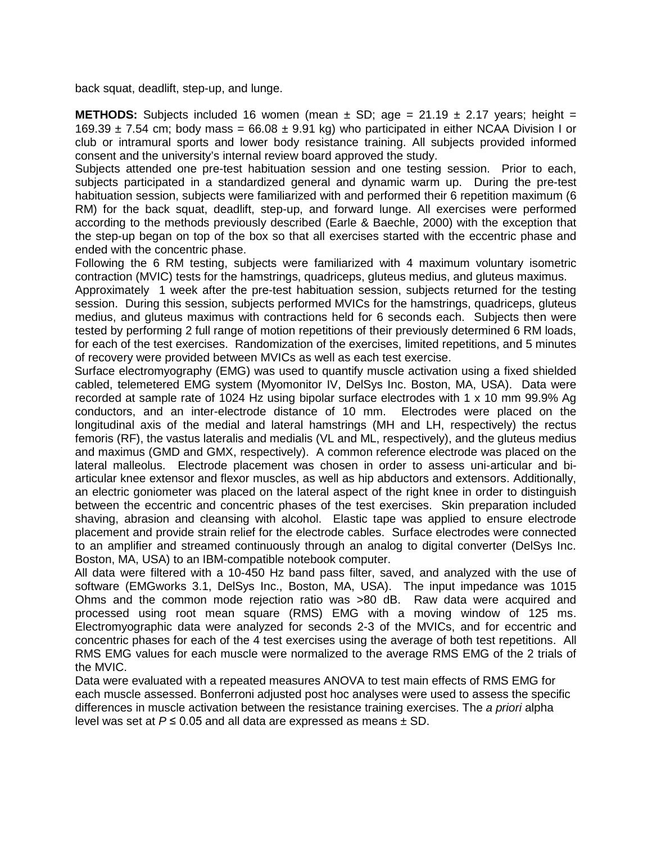back squat, deadlift, step-up, and lunge.

**METHODS:** Subjects included 16 women (mean  $\pm$  SD; age = 21.19  $\pm$  2.17 years; height = 169.39  $\pm$  7.54 cm; body mass = 66.08  $\pm$  9.91 kg) who participated in either NCAA Division I or club or intramural sports and lower body resistance training. All subjects provided informed consent and the university's internal review board approved the study.

Subjects attended one pre-test habituation session and one testing session. Prior to each, subjects participated in a standardized general and dynamic warm up. During the pre-test habituation session, subjects were familiarized with and performed their 6 repetition maximum (6 RM) for the back squat, deadlift, step-up, and forward lunge. All exercises were performed according to the methods previously described (Earle & Baechle, 2000) with the exception that the step-up began on top of the box so that all exercises started with the eccentric phase and ended with the concentric phase.

Following the 6 RM testing, subjects were familiarized with 4 maximum voluntary isometric contraction (MVIC) tests for the hamstrings, quadriceps, gluteus medius, and gluteus maximus.

Approximately 1 week after the pre-test habituation session, subjects returned for the testing session. During this session, subjects performed MVICs for the hamstrings, quadriceps, gluteus medius, and gluteus maximus with contractions held for 6 seconds each. Subjects then were tested by performing 2 full range of motion repetitions of their previously determined 6 RM loads, for each of the test exercises. Randomization of the exercises, limited repetitions, and 5 minutes of recovery were provided between MVICs as well as each test exercise.

Surface electromyography (EMG) was used to quantify muscle activation using a fixed shielded cabled, telemetered EMG system (Myomonitor IV, DelSys Inc. Boston, MA, USA). Data were recorded at sample rate of 1024 Hz using bipolar surface electrodes with 1 x 10 mm 99.9% Ag conductors, and an inter-electrode distance of 10 mm. Electrodes were placed on the longitudinal axis of the medial and lateral hamstrings (MH and LH, respectively) the rectus femoris (RF), the vastus lateralis and medialis (VL and ML, respectively), and the gluteus medius and maximus (GMD and GMX, respectively). A common reference electrode was placed on the lateral malleolus. Electrode placement was chosen in order to assess uni-articular and biarticular knee extensor and flexor muscles, as well as hip abductors and extensors. Additionally, an electric goniometer was placed on the lateral aspect of the right knee in order to distinguish between the eccentric and concentric phases of the test exercises. Skin preparation included shaving, abrasion and cleansing with alcohol. Elastic tape was applied to ensure electrode placement and provide strain relief for the electrode cables. Surface electrodes were connected to an amplifier and streamed continuously through an analog to digital converter (DelSys Inc. Boston, MA, USA) to an IBM-compatible notebook computer.

All data were filtered with a 10-450 Hz band pass filter, saved, and analyzed with the use of software (EMGworks 3.1, DelSys Inc., Boston, MA, USA). The input impedance was 1015 Ohms and the common mode rejection ratio was >80 dB. Raw data were acquired and processed using root mean square (RMS) EMG with a moving window of 125 ms. Electromyographic data were analyzed for seconds 2-3 of the MVICs, and for eccentric and concentric phases for each of the 4 test exercises using the average of both test repetitions. All RMS EMG values for each muscle were normalized to the average RMS EMG of the 2 trials of the MVIC.

Data were evaluated with a repeated measures ANOVA to test main effects of RMS EMG for each muscle assessed. Bonferroni adjusted post hoc analyses were used to assess the specific differences in muscle activation between the resistance training exercises. The *a priori* alpha level was set at  $P \le 0.05$  and all data are expressed as means  $\pm$  SD.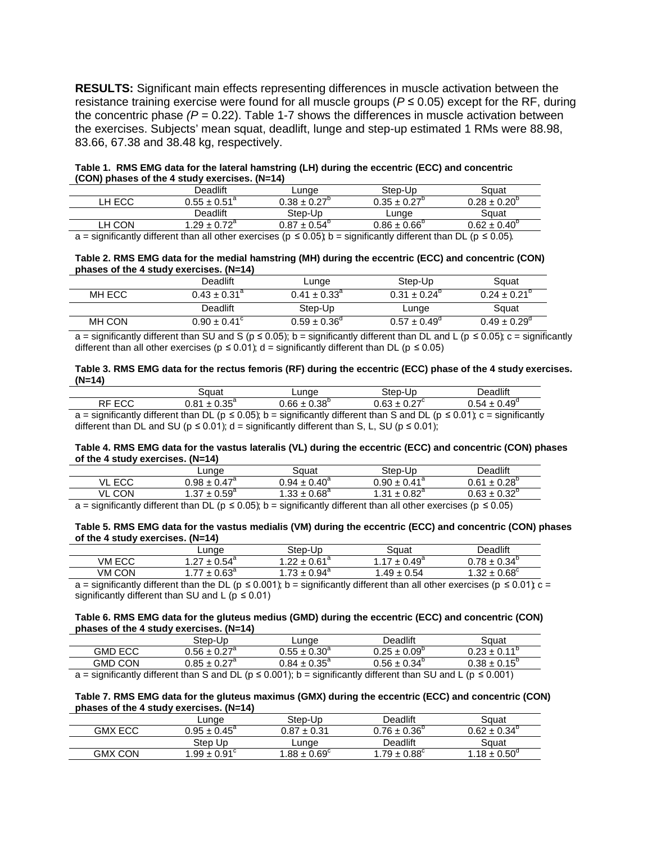**RESULTS:** Significant main effects representing differences in muscle activation between the resistance training exercise were found for all muscle groups ( $P \le 0.05$ ) except for the RF, during the concentric phase  $(P = 0.22)$ . Table 1-7 shows the differences in muscle activation between the exercises. Subjects' mean squat, deadlift, lunge and step-up estimated 1 RMs were 88.98, 83.66, 67.38 and 38.48 kg, respectively.

**Table 1. RMS EMG data for the lateral hamstring (LH) during the eccentric (ECC) and concentric (CON) phases of the 4 study exercises. (N=14)**

|        | Deadlift                        | Lunge                   | Step-Up                 | Sɑuat                   |
|--------|---------------------------------|-------------------------|-------------------------|-------------------------|
| ∟H ECC | $0.55\pm0.51^{\text{\tiny{d}}}$ | $0.38 \pm 0.27^{\circ}$ | $0.35 \pm 0.27^{\circ}$ | $0.28 \pm 0.20^{\circ}$ |
|        | Deadlift                        | Step-Up                 | Lunae                   | Sɑuat                   |
| LH CON | $.29 \pm 0.72^{\circ}$          | $0.87 \pm 0.54^{\circ}$ | $0.86 \pm 0.66^{\circ}$ | $0.62 \pm 0.40^{\circ}$ |

 $a =$  significantly different than all other exercises ( $p \le 0.05$ );  $b =$  significantly different than DL ( $p \le 0.05$ ).

**Table 2. RMS EMG data for the medial hamstring (MH) during the eccentric (ECC) and concentric (CON) phases of the 4 study exercises. (N=14)**

|        | Deadlift                | Lunge                   | Step-Up                 | Squat                   |
|--------|-------------------------|-------------------------|-------------------------|-------------------------|
| MH ECC | $0.43 \pm 0.31^{\circ}$ | $0.41 \pm 0.33^{\circ}$ | $0.31 \pm 0.24^{\circ}$ | $0.24 \pm 0.21^{\circ}$ |
|        | Deadlift                | Step-Up                 | Lunge                   | Squat                   |
| MH CON | $0.90 \pm 0.41^{\circ}$ | $0.59 \pm 0.36^{\circ}$ | $0.57 \pm 0.49^{\circ}$ | $0.49 \pm 0.29^{\circ}$ |

a = significantly different than SU and S ( $p \le 0.05$ ); b = significantly different than DL and L ( $p \le 0.05$ ); c = significantly different than all other exercises ( $p \le 0.01$ ); d = significantly different than DL ( $p \le 0.05$ )

### **Table 3. RMS EMG data for the rectus femoris (RF) during the eccentric (ECC) phase of the 4 study exercises. (N=14)**

|                                                                                                        | Sauat                   | Lunge                   | Step-Up                 | Deadlift                                                                                                                              |  |
|--------------------------------------------------------------------------------------------------------|-------------------------|-------------------------|-------------------------|---------------------------------------------------------------------------------------------------------------------------------------|--|
| RF ECC                                                                                                 | $0.81 \pm 0.35^{\circ}$ | $0.66 \pm 0.38^{\circ}$ | $0.63 \pm 0.27^{\circ}$ | $0.54 \pm 0.49^{\circ}$                                                                                                               |  |
|                                                                                                        |                         |                         |                         | $a =$ significantly different than DL ( $p \le 0.05$ ); b = significantly different than S and DL ( $p \le 0.01$ ); c = significantly |  |
| different than DL and SU ( $p \le 0.01$ ); d = significantly different than S, L, SU ( $p \le 0.01$ ); |                         |                         |                         |                                                                                                                                       |  |

### **Table 4. RMS EMG data for the vastus lateralis (VL) during the eccentric (ECC) and concentric (CON) phases of the 4 study exercises. (N=14)**

|                                                                                                                                                    |        | ∟unae                   | Sauat                   | Step-Up                                                                                                                                                                                  | Deadlift                |
|----------------------------------------------------------------------------------------------------------------------------------------------------|--------|-------------------------|-------------------------|------------------------------------------------------------------------------------------------------------------------------------------------------------------------------------------|-------------------------|
|                                                                                                                                                    | VL ECC | $0.98 \pm 0.47^{\circ}$ | $0.94 \pm 0.40^4$       | $0.90 \pm 0.41$ <sup>a</sup>                                                                                                                                                             | $0.61 \pm 0.28$         |
|                                                                                                                                                    | VL CON | $1.37 \pm 0.59^{\circ}$ | $1.33 \pm 0.68^{\circ}$ | $1.31 \pm 0.82^{\circ}$                                                                                                                                                                  | $0.63 \pm 0.32^{\circ}$ |
| $\sim$ 1 and 10 and 10 and 10 for the started and $\sim$ 10 $\sim$ 10 $\sim$ 10 $\sim$ 10 $\sim$ 10 $\sim$ 10 $\sim$ 10 $\sim$ 10 $\sim$<br>$\sim$ |        |                         |                         | $\mathcal{L}^{\text{t}}$ and $\mathcal{L}^{\text{t}}$ are defined in the set of the set of the set of $\mathcal{L}^{\text{t}}$ and $\mathcal{L}^{\text{t}}$ and $\mathcal{L}^{\text{t}}$ |                         |

a = significantly different than DL ( $p \le 0.05$ ); b = significantly different than all other exercises ( $p \le 0.05$ )

## **Table 5. RMS EMG data for the vastus medialis (VM) during the eccentric (ECC) and concentric (CON) phases of the 4 study exercises. (N=14)**

|        | ∟unqe                                | Step-Up                 | Sɑuat              | <b>Deadlift</b>                               |
|--------|--------------------------------------|-------------------------|--------------------|-----------------------------------------------|
| VM ECC | $\leq 0.54^{\circ}$<br>$\sim$<br>÷ . | $0.61^\circ$<br>ົດດ     | $\pm 0.49^{\circ}$ | $0.78 \pm 0.34^{\circ}$                       |
| VM CON | 0.63 <sup>4</sup><br>$\rightarrow$   | 72.<br>$\pm 0.94^\circ$ | $.49 \pm 0.54$     | $\angle \pm 0.68^{\circ}$<br>.32 <sub>1</sub> |

a = significantly different than the DL ( $p \le 0.001$ ); b = significantly different than all other exercises ( $p \le 0.01$ ); c = significantly different than SU and L ( $p \le 0.01$ )

#### **Table 6. RMS EMG data for the gluteus medius (GMD) during the eccentric (ECC) and concentric (CON) phases of the 4 study exercises. (N=14)**

|                | Step-Up                    | ∟unge                      | Deadlift                     | Sauat                 |
|----------------|----------------------------|----------------------------|------------------------------|-----------------------|
| <b>GMD ECC</b> | $0.56\pm0.27^{\mathrm{a}}$ | $0.55\pm0.30^{\mathrm{a}}$ | $\mu \pm 0.09^\circ$<br>በ ጋნ | $0.23 + 0.11^{\circ}$ |
| <b>GMD CON</b> | $0.85 \pm 0.27^{\circ}$    | $0.84\pm0.35^{\mathrm{a}}$ | $0.56 \pm 0.34^{\circ}$      | $0.38\pm0.15^{\circ}$ |
| .<br>.         | $\sim$<br>.                | .<br>.                     | $  -$<br>.<br>$\sim$ $\sim$  | .                     |

a = significantly different than S and DL ( $p \le 0.001$ ); b = significantly different than SU and L ( $p \le 0.001$ )

### **Table 7. RMS EMG data for the gluteus maximus (GMX) during the eccentric (ECC) and concentric (CON) phases of the 4 study exercises. (N=14)**

|                | Lunae                   | Step-Up                 | Deadlift                | Sɑuat                   |
|----------------|-------------------------|-------------------------|-------------------------|-------------------------|
| <b>GMX ECC</b> | $0.95 \pm 0.45^{\circ}$ | $0.87 \pm 0.31$         | $0.76 \pm 0.36^{\circ}$ | $0.62 \pm 0.34^{\circ}$ |
|                | Step Up                 | Lunge                   | Deadlift                | Sɑuat                   |
| <b>GMX CON</b> | $1.99 \pm 0.91$         | $1.88 \pm 0.69^{\circ}$ | $.79 \pm 0.88^{\circ}$  | $1.18 \pm 0.50^{\circ}$ |